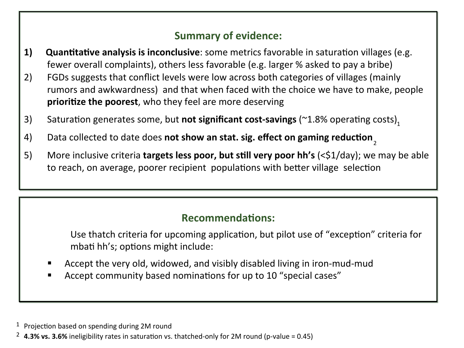## **Summary of evidence:**

- **1)** Quantitative analysis is inconclusive: some metrics favorable in saturation villages (e.g. fewer overall complaints), others less favorable (e.g. larger % asked to pay a bribe)
- 2) FGDs suggests that conflict levels were low across both categories of villages (mainly rumors and awkwardness) and that when faced with the choice we have to make, people **prioritize the poorest**, who they feel are more deserving
- 3) Saturation generates some, but **not significant cost-savings** (~1.8% operating costs)<sub>1</sub>
- 4) Data collected to date does not show an stat. sig. effect on gaming reduction<sub>2</sub>
- 5) More inclusive criteria **targets less poor, but still very poor hh's** (<\$1/day); we may be able to reach, on average, poorer recipient populations with better village selection

## **Recommendations:**

Use thatch criteria for upcoming application, but pilot use of "exception" criteria for mbati hh's; options might include:

- Accept the very old, widowed, and visibly disabled living in iron-mud-mud
- Accept community based nominations for up to 10 "special cases"

 $1$  Projection based on spending during 2M round

<sup>&</sup>lt;sup>2</sup> **4.3% vs. 3.6%** ineligibility rates in saturation vs. thatched-only for 2M round (p-value = 0.45)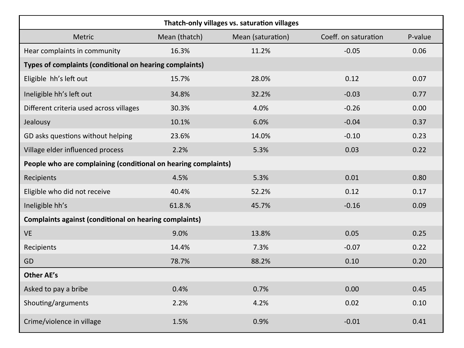| Thatch-only villages vs. saturation villages                   |               |                   |                      |         |  |  |  |
|----------------------------------------------------------------|---------------|-------------------|----------------------|---------|--|--|--|
| Metric                                                         | Mean (thatch) | Mean (saturation) | Coeff. on saturation | P-value |  |  |  |
| Hear complaints in community                                   | 16.3%         | 11.2%             | $-0.05$              | 0.06    |  |  |  |
| Types of complaints (conditional on hearing complaints)        |               |                   |                      |         |  |  |  |
| Eligible hh's left out                                         | 15.7%         | 28.0%             | 0.12                 | 0.07    |  |  |  |
| Ineligible hh's left out                                       | 34.8%         | 32.2%             | $-0.03$              | 0.77    |  |  |  |
| Different criteria used across villages                        | 30.3%         | 4.0%              | $-0.26$              | 0.00    |  |  |  |
| Jealousy                                                       | 10.1%         | 6.0%              | $-0.04$              | 0.37    |  |  |  |
| GD asks questions without helping                              | 23.6%         | 14.0%             | $-0.10$              | 0.23    |  |  |  |
| Village elder influenced process                               | 2.2%          | 5.3%              | 0.03                 | 0.22    |  |  |  |
| People who are complaining (conditional on hearing complaints) |               |                   |                      |         |  |  |  |
| Recipients                                                     | 4.5%          | 5.3%              | 0.01                 | 0.80    |  |  |  |
| Eligible who did not receive                                   | 40.4%         | 52.2%             | 0.12                 | 0.17    |  |  |  |
| Ineligible hh's                                                | 61.8.%        | 45.7%             | $-0.16$              | 0.09    |  |  |  |
| <b>Complaints against (conditional on hearing complaints)</b>  |               |                   |                      |         |  |  |  |
| <b>VE</b>                                                      | 9.0%          | 13.8%             | 0.05                 | 0.25    |  |  |  |
| Recipients                                                     | 14.4%         | 7.3%              | $-0.07$              | 0.22    |  |  |  |
| GD                                                             | 78.7%         | 88.2%             | 0.10                 | 0.20    |  |  |  |
| <b>Other AE's</b>                                              |               |                   |                      |         |  |  |  |
| Asked to pay a bribe                                           | 0.4%          | 0.7%              | 0.00                 | 0.45    |  |  |  |
| Shouting/arguments                                             | 2.2%          | 4.2%              | 0.02                 | 0.10    |  |  |  |
| Crime/violence in village                                      | 1.5%          | 0.9%              | $-0.01$              | 0.41    |  |  |  |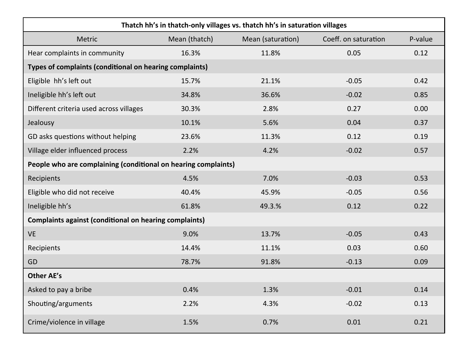| Thatch hh's in thatch-only villages vs. thatch hh's in saturation villages |               |                   |                      |         |  |  |
|----------------------------------------------------------------------------|---------------|-------------------|----------------------|---------|--|--|
| Metric                                                                     | Mean (thatch) | Mean (saturation) | Coeff. on saturation | P-value |  |  |
| Hear complaints in community                                               | 16.3%         | 11.8%             | 0.05                 | 0.12    |  |  |
| Types of complaints (conditional on hearing complaints)                    |               |                   |                      |         |  |  |
| Eligible hh's left out                                                     | 15.7%         | 21.1%             | $-0.05$              | 0.42    |  |  |
| Ineligible hh's left out                                                   | 34.8%         | 36.6%             | $-0.02$              | 0.85    |  |  |
| Different criteria used across villages                                    | 30.3%         | 2.8%              | 0.27                 | 0.00    |  |  |
| Jealousy                                                                   | 10.1%         | 5.6%              | 0.04                 | 0.37    |  |  |
| GD asks questions without helping                                          | 23.6%         | 11.3%             | 0.12                 | 0.19    |  |  |
| Village elder influenced process                                           | 2.2%          | 4.2%              | $-0.02$              | 0.57    |  |  |
| People who are complaining (conditional on hearing complaints)             |               |                   |                      |         |  |  |
| Recipients                                                                 | 4.5%          | 7.0%              | $-0.03$              | 0.53    |  |  |
| Eligible who did not receive                                               | 40.4%         | 45.9%             | $-0.05$              | 0.56    |  |  |
| Ineligible hh's                                                            | 61.8%         | 49.3.%            | 0.12                 | 0.22    |  |  |
| <b>Complaints against (conditional on hearing complaints)</b>              |               |                   |                      |         |  |  |
| <b>VE</b>                                                                  | 9.0%          | 13.7%             | $-0.05$              | 0.43    |  |  |
| Recipients                                                                 | 14.4%         | 11.1%             | 0.03                 | 0.60    |  |  |
| GD                                                                         | 78.7%         | 91.8%             | $-0.13$              | 0.09    |  |  |
| <b>Other AE's</b>                                                          |               |                   |                      |         |  |  |
| Asked to pay a bribe                                                       | 0.4%          | 1.3%              | $-0.01$              | 0.14    |  |  |
| Shouting/arguments                                                         | 2.2%          | 4.3%              | $-0.02$              | 0.13    |  |  |
| Crime/violence in village                                                  | 1.5%          | 0.7%              | 0.01                 | 0.21    |  |  |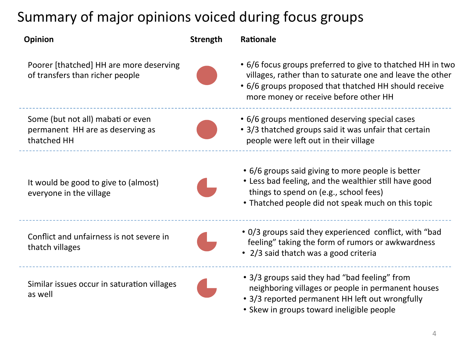## Summary of major opinions voiced during focus groups

| <b>Opinion</b>                                                                       | Strength | Rationale                                                                                                                                                                                                                 |
|--------------------------------------------------------------------------------------|----------|---------------------------------------------------------------------------------------------------------------------------------------------------------------------------------------------------------------------------|
| Poorer [thatched] HH are more deserving<br>of transfers than richer people           |          | • 6/6 focus groups preferred to give to thatched HH in two<br>villages, rather than to saturate one and leave the other<br>• 6/6 groups proposed that thatched HH should receive<br>more money or receive before other HH |
| Some (but not all) mabati or even<br>permanent HH are as deserving as<br>thatched HH |          | • 6/6 groups mentioned deserving special cases<br>• 3/3 thatched groups said it was unfair that certain<br>people were left out in their village                                                                          |
| It would be good to give to (almost)<br>everyone in the village                      |          | • 6/6 groups said giving to more people is better<br>• Less bad feeling, and the wealthier still have good<br>things to spend on (e.g., school fees)<br>• Thatched people did not speak much on this topic                |
| Conflict and unfairness is not severe in<br>thatch villages                          |          | • 0/3 groups said they experienced conflict, with "bad<br>feeling" taking the form of rumors or awkwardness<br>• 2/3 said thatch was a good criteria                                                                      |
|                                                                                      |          |                                                                                                                                                                                                                           |

Similar issues occur in saturation villages

as well 

• 3/3 groups said they had "bad feeling" from neighboring villages or people in permanent houses

- 3/3 reported permanent HH left out wrongfully
- Skew in groups toward ineligible people